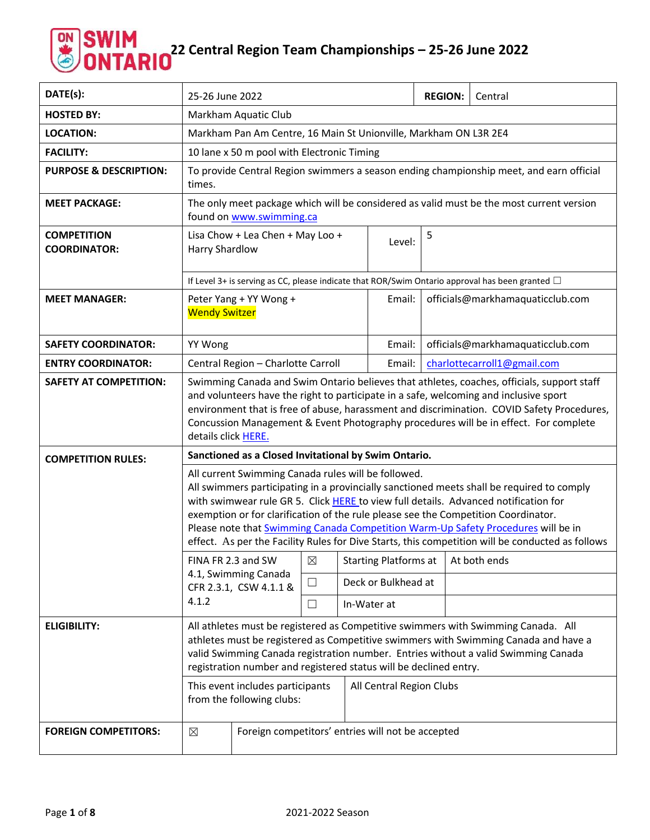| DATE(s):                                  |                                                                                                                                                                                                                                                                                                                                     | 25-26 June 2022                                                                                                                                                                                                                                                                                                                                                                                  |        |        |                     | <b>REGION:</b> | Central                                                                                                                                                                                                                                                                                                                                                                                                                                                                |
|-------------------------------------------|-------------------------------------------------------------------------------------------------------------------------------------------------------------------------------------------------------------------------------------------------------------------------------------------------------------------------------------|--------------------------------------------------------------------------------------------------------------------------------------------------------------------------------------------------------------------------------------------------------------------------------------------------------------------------------------------------------------------------------------------------|--------|--------|---------------------|----------------|------------------------------------------------------------------------------------------------------------------------------------------------------------------------------------------------------------------------------------------------------------------------------------------------------------------------------------------------------------------------------------------------------------------------------------------------------------------------|
| <b>HOSTED BY:</b>                         |                                                                                                                                                                                                                                                                                                                                     | Markham Aquatic Club                                                                                                                                                                                                                                                                                                                                                                             |        |        |                     |                |                                                                                                                                                                                                                                                                                                                                                                                                                                                                        |
| <b>LOCATION:</b>                          |                                                                                                                                                                                                                                                                                                                                     | Markham Pan Am Centre, 16 Main St Unionville, Markham ON L3R 2E4                                                                                                                                                                                                                                                                                                                                 |        |        |                     |                |                                                                                                                                                                                                                                                                                                                                                                                                                                                                        |
| <b>FACILITY:</b>                          |                                                                                                                                                                                                                                                                                                                                     | 10 lane x 50 m pool with Electronic Timing                                                                                                                                                                                                                                                                                                                                                       |        |        |                     |                |                                                                                                                                                                                                                                                                                                                                                                                                                                                                        |
| <b>PURPOSE &amp; DESCRIPTION:</b>         | times.                                                                                                                                                                                                                                                                                                                              |                                                                                                                                                                                                                                                                                                                                                                                                  |        |        |                     |                | To provide Central Region swimmers a season ending championship meet, and earn official                                                                                                                                                                                                                                                                                                                                                                                |
| <b>MEET PACKAGE:</b>                      |                                                                                                                                                                                                                                                                                                                                     | found on www.swimming.ca                                                                                                                                                                                                                                                                                                                                                                         |        |        |                     |                | The only meet package which will be considered as valid must be the most current version                                                                                                                                                                                                                                                                                                                                                                               |
| <b>COMPETITION</b><br><b>COORDINATOR:</b> | Lisa Chow + Lea Chen + May Loo +<br>Harry Shardlow                                                                                                                                                                                                                                                                                  |                                                                                                                                                                                                                                                                                                                                                                                                  |        | Level: | 5                   |                |                                                                                                                                                                                                                                                                                                                                                                                                                                                                        |
|                                           |                                                                                                                                                                                                                                                                                                                                     |                                                                                                                                                                                                                                                                                                                                                                                                  |        |        |                     |                | If Level 3+ is serving as CC, please indicate that ROR/Swim Ontario approval has been granted $\Box$                                                                                                                                                                                                                                                                                                                                                                   |
| <b>MEET MANAGER:</b>                      |                                                                                                                                                                                                                                                                                                                                     | Peter Yang + YY Wong +<br><b>Wendy Switzer</b>                                                                                                                                                                                                                                                                                                                                                   |        |        | Email:              |                | officials@markhamaquaticclub.com                                                                                                                                                                                                                                                                                                                                                                                                                                       |
| <b>SAFETY COORDINATOR:</b>                | YY Wong                                                                                                                                                                                                                                                                                                                             |                                                                                                                                                                                                                                                                                                                                                                                                  |        |        | Email:              |                | officials@markhamaquaticclub.com                                                                                                                                                                                                                                                                                                                                                                                                                                       |
| <b>ENTRY COORDINATOR:</b>                 |                                                                                                                                                                                                                                                                                                                                     | Central Region - Charlotte Carroll                                                                                                                                                                                                                                                                                                                                                               |        |        |                     | Email:         | charlottecarroll1@gmail.com                                                                                                                                                                                                                                                                                                                                                                                                                                            |
| <b>SAFETY AT COMPETITION:</b>             |                                                                                                                                                                                                                                                                                                                                     | Swimming Canada and Swim Ontario believes that athletes, coaches, officials, support staff<br>and volunteers have the right to participate in a safe, welcoming and inclusive sport<br>environment that is free of abuse, harassment and discrimination. COVID Safety Procedures,<br>Concussion Management & Event Photography procedures will be in effect. For complete<br>details click HERE. |        |        |                     |                |                                                                                                                                                                                                                                                                                                                                                                                                                                                                        |
| <b>COMPETITION RULES:</b>                 |                                                                                                                                                                                                                                                                                                                                     | Sanctioned as a Closed Invitational by Swim Ontario.                                                                                                                                                                                                                                                                                                                                             |        |        |                     |                |                                                                                                                                                                                                                                                                                                                                                                                                                                                                        |
|                                           |                                                                                                                                                                                                                                                                                                                                     | All current Swimming Canada rules will be followed.                                                                                                                                                                                                                                                                                                                                              |        |        |                     |                | All swimmers participating in a provincially sanctioned meets shall be required to comply<br>with swimwear rule GR 5. Click HERE to view full details. Advanced notification for<br>exemption or for clarification of the rule please see the Competition Coordinator.<br>Please note that <b>Swimming Canada Competition Warm-Up Safety Procedures</b> will be in<br>effect. As per the Facility Rules for Dive Starts, this competition will be conducted as follows |
|                                           |                                                                                                                                                                                                                                                                                                                                     | FINA FR 2.3 and SW $\Big \boxtimes\Big $ Starting Platforms at $\Big $ At both ends                                                                                                                                                                                                                                                                                                              |        |        |                     |                |                                                                                                                                                                                                                                                                                                                                                                                                                                                                        |
|                                           |                                                                                                                                                                                                                                                                                                                                     | 4.1, Swimming Canada<br>CFR 2.3.1, CSW 4.1.1 &                                                                                                                                                                                                                                                                                                                                                   | □      |        | Deck or Bulkhead at |                |                                                                                                                                                                                                                                                                                                                                                                                                                                                                        |
|                                           | 4.1.2                                                                                                                                                                                                                                                                                                                               |                                                                                                                                                                                                                                                                                                                                                                                                  | $\Box$ |        | In-Water at         |                |                                                                                                                                                                                                                                                                                                                                                                                                                                                                        |
| <b>ELIGIBILITY:</b>                       | All athletes must be registered as Competitive swimmers with Swimming Canada. All<br>athletes must be registered as Competitive swimmers with Swimming Canada and have a<br>valid Swimming Canada registration number. Entries without a valid Swimming Canada<br>registration number and registered status will be declined entry. |                                                                                                                                                                                                                                                                                                                                                                                                  |        |        |                     |                |                                                                                                                                                                                                                                                                                                                                                                                                                                                                        |
|                                           | This event includes participants<br>All Central Region Clubs<br>from the following clubs:                                                                                                                                                                                                                                           |                                                                                                                                                                                                                                                                                                                                                                                                  |        |        |                     |                |                                                                                                                                                                                                                                                                                                                                                                                                                                                                        |
| <b>FOREIGN COMPETITORS:</b>               | $\boxtimes$                                                                                                                                                                                                                                                                                                                         | Foreign competitors' entries will not be accepted                                                                                                                                                                                                                                                                                                                                                |        |        |                     |                |                                                                                                                                                                                                                                                                                                                                                                                                                                                                        |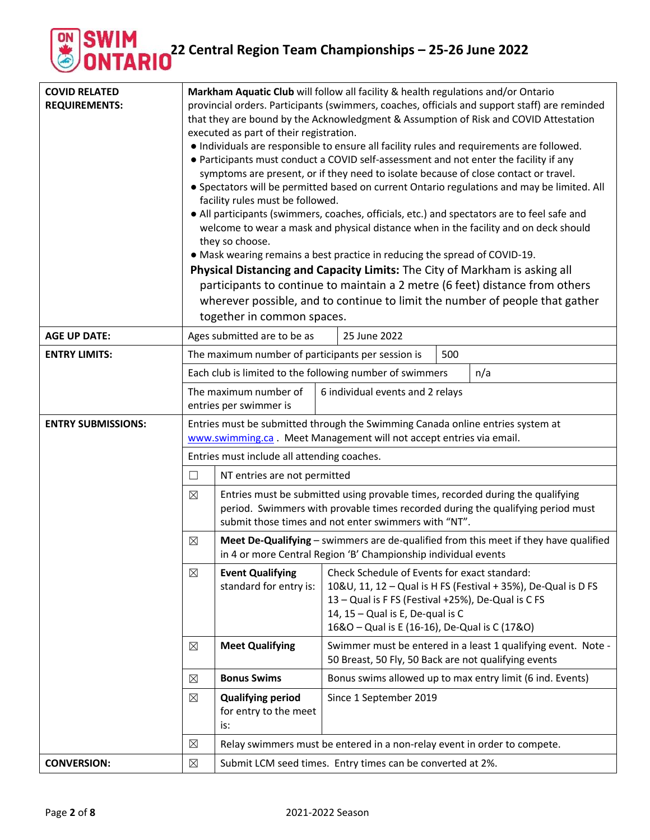| <b>COVID RELATED</b><br><b>REQUIREMENTS:</b> |             | Markham Aquatic Club will follow all facility & health regulations and/or Ontario<br>provincial orders. Participants (swimmers, coaches, officials and support staff) are reminded<br>that they are bound by the Acknowledgment & Assumption of Risk and COVID Attestation<br>executed as part of their registration.<br>. Individuals are responsible to ensure all facility rules and requirements are followed.<br>• Participants must conduct a COVID self-assessment and not enter the facility if any<br>symptoms are present, or if they need to isolate because of close contact or travel.<br>· Spectators will be permitted based on current Ontario regulations and may be limited. All<br>facility rules must be followed.<br>• All participants (swimmers, coaches, officials, etc.) and spectators are to feel safe and<br>welcome to wear a mask and physical distance when in the facility and on deck should<br>they so choose.<br>• Mask wearing remains a best practice in reducing the spread of COVID-19.<br>Physical Distancing and Capacity Limits: The City of Markham is asking all<br>participants to continue to maintain a 2 metre (6 feet) distance from others<br>wherever possible, and to continue to limit the number of people that gather<br>together in common spaces. |                                                                                                                                                                                                                                                          |     |                                                                                      |  |  |
|----------------------------------------------|-------------|------------------------------------------------------------------------------------------------------------------------------------------------------------------------------------------------------------------------------------------------------------------------------------------------------------------------------------------------------------------------------------------------------------------------------------------------------------------------------------------------------------------------------------------------------------------------------------------------------------------------------------------------------------------------------------------------------------------------------------------------------------------------------------------------------------------------------------------------------------------------------------------------------------------------------------------------------------------------------------------------------------------------------------------------------------------------------------------------------------------------------------------------------------------------------------------------------------------------------------------------------------------------------------------------------------|----------------------------------------------------------------------------------------------------------------------------------------------------------------------------------------------------------------------------------------------------------|-----|--------------------------------------------------------------------------------------|--|--|
| <b>AGE UP DATE:</b>                          |             | Ages submitted are to be as                                                                                                                                                                                                                                                                                                                                                                                                                                                                                                                                                                                                                                                                                                                                                                                                                                                                                                                                                                                                                                                                                                                                                                                                                                                                                | 25 June 2022                                                                                                                                                                                                                                             |     |                                                                                      |  |  |
| <b>ENTRY LIMITS:</b>                         |             | The maximum number of participants per session is                                                                                                                                                                                                                                                                                                                                                                                                                                                                                                                                                                                                                                                                                                                                                                                                                                                                                                                                                                                                                                                                                                                                                                                                                                                          |                                                                                                                                                                                                                                                          | 500 |                                                                                      |  |  |
|                                              |             | Each club is limited to the following number of swimmers<br>n/a                                                                                                                                                                                                                                                                                                                                                                                                                                                                                                                                                                                                                                                                                                                                                                                                                                                                                                                                                                                                                                                                                                                                                                                                                                            |                                                                                                                                                                                                                                                          |     |                                                                                      |  |  |
|                                              |             | The maximum number of<br>entries per swimmer is                                                                                                                                                                                                                                                                                                                                                                                                                                                                                                                                                                                                                                                                                                                                                                                                                                                                                                                                                                                                                                                                                                                                                                                                                                                            | 6 individual events and 2 relays                                                                                                                                                                                                                         |     |                                                                                      |  |  |
| <b>ENTRY SUBMISSIONS:</b>                    |             |                                                                                                                                                                                                                                                                                                                                                                                                                                                                                                                                                                                                                                                                                                                                                                                                                                                                                                                                                                                                                                                                                                                                                                                                                                                                                                            | Entries must be submitted through the Swimming Canada online entries system at<br>www.swimming.ca. Meet Management will not accept entries via email.                                                                                                    |     |                                                                                      |  |  |
|                                              |             | Entries must include all attending coaches.                                                                                                                                                                                                                                                                                                                                                                                                                                                                                                                                                                                                                                                                                                                                                                                                                                                                                                                                                                                                                                                                                                                                                                                                                                                                |                                                                                                                                                                                                                                                          |     |                                                                                      |  |  |
|                                              | $\Box$      | NT entries are not permitted                                                                                                                                                                                                                                                                                                                                                                                                                                                                                                                                                                                                                                                                                                                                                                                                                                                                                                                                                                                                                                                                                                                                                                                                                                                                               |                                                                                                                                                                                                                                                          |     |                                                                                      |  |  |
|                                              | ⊠           |                                                                                                                                                                                                                                                                                                                                                                                                                                                                                                                                                                                                                                                                                                                                                                                                                                                                                                                                                                                                                                                                                                                                                                                                                                                                                                            | Entries must be submitted using provable times, recorded during the qualifying<br>submit those times and not enter swimmers with "NT".                                                                                                                   |     | period. Swimmers with provable times recorded during the qualifying period must      |  |  |
|                                              | ⊠           |                                                                                                                                                                                                                                                                                                                                                                                                                                                                                                                                                                                                                                                                                                                                                                                                                                                                                                                                                                                                                                                                                                                                                                                                                                                                                                            | in 4 or more Central Region 'B' Championship individual events                                                                                                                                                                                           |     | Meet De-Qualifying - swimmers are de-qualified from this meet if they have qualified |  |  |
|                                              | ⊠           | <b>Event Qualifying</b><br>standard for entry is:                                                                                                                                                                                                                                                                                                                                                                                                                                                                                                                                                                                                                                                                                                                                                                                                                                                                                                                                                                                                                                                                                                                                                                                                                                                          | Check Schedule of Events for exact standard:<br>10&U, 11, 12 - Qual is H FS (Festival + 35%), De-Qual is D FS<br>13 - Qual is F FS (Festival +25%), De-Qual is C FS<br>14, 15 - Qual is E, De-qual is C<br>16&O - Qual is E (16-16), De-Qual is C (17&O) |     |                                                                                      |  |  |
|                                              | $\boxtimes$ | <b>Meet Qualifying</b>                                                                                                                                                                                                                                                                                                                                                                                                                                                                                                                                                                                                                                                                                                                                                                                                                                                                                                                                                                                                                                                                                                                                                                                                                                                                                     | 50 Breast, 50 Fly, 50 Back are not qualifying events                                                                                                                                                                                                     |     | Swimmer must be entered in a least 1 qualifying event. Note -                        |  |  |
|                                              | $\boxtimes$ | <b>Bonus Swims</b>                                                                                                                                                                                                                                                                                                                                                                                                                                                                                                                                                                                                                                                                                                                                                                                                                                                                                                                                                                                                                                                                                                                                                                                                                                                                                         | Bonus swims allowed up to max entry limit (6 ind. Events)                                                                                                                                                                                                |     |                                                                                      |  |  |
|                                              | ⊠           | <b>Qualifying period</b><br>for entry to the meet<br>is:                                                                                                                                                                                                                                                                                                                                                                                                                                                                                                                                                                                                                                                                                                                                                                                                                                                                                                                                                                                                                                                                                                                                                                                                                                                   | Since 1 September 2019                                                                                                                                                                                                                                   |     |                                                                                      |  |  |
|                                              | ⊠           |                                                                                                                                                                                                                                                                                                                                                                                                                                                                                                                                                                                                                                                                                                                                                                                                                                                                                                                                                                                                                                                                                                                                                                                                                                                                                                            | Relay swimmers must be entered in a non-relay event in order to compete.                                                                                                                                                                                 |     |                                                                                      |  |  |
| <b>CONVERSION:</b>                           | ⊠           |                                                                                                                                                                                                                                                                                                                                                                                                                                                                                                                                                                                                                                                                                                                                                                                                                                                                                                                                                                                                                                                                                                                                                                                                                                                                                                            | Submit LCM seed times. Entry times can be converted at 2%.                                                                                                                                                                                               |     |                                                                                      |  |  |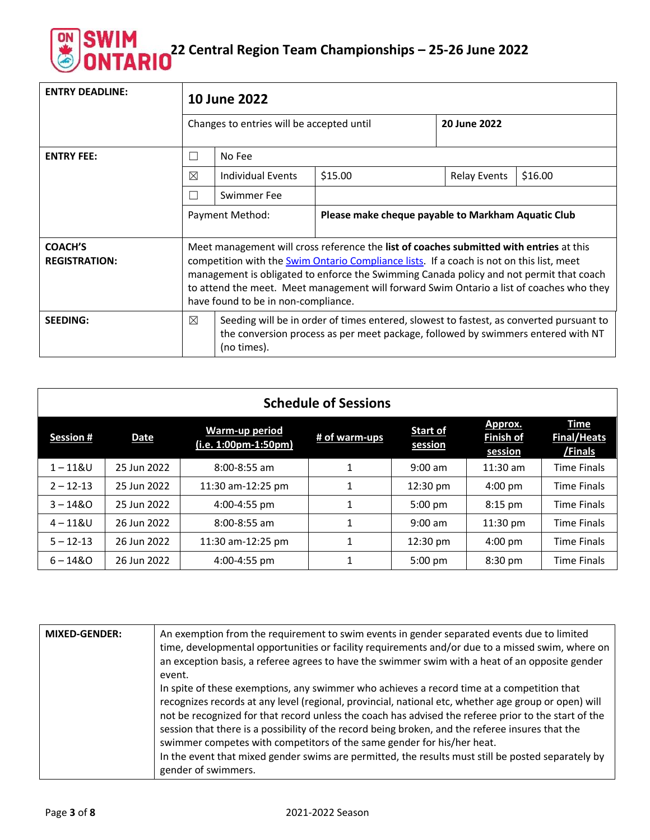| <b>ENTRY DEADLINE:</b>                 | 10 June 2022                                                          |                                                                                                                                                                                                                                                                                                                                                                                                                   |         |                     |         |  |  |  |
|----------------------------------------|-----------------------------------------------------------------------|-------------------------------------------------------------------------------------------------------------------------------------------------------------------------------------------------------------------------------------------------------------------------------------------------------------------------------------------------------------------------------------------------------------------|---------|---------------------|---------|--|--|--|
|                                        |                                                                       | Changes to entries will be accepted until<br>20 June 2022                                                                                                                                                                                                                                                                                                                                                         |         |                     |         |  |  |  |
| <b>ENTRY FEE:</b>                      | ×                                                                     | No Fee                                                                                                                                                                                                                                                                                                                                                                                                            |         |                     |         |  |  |  |
|                                        | ⊠                                                                     | Individual Events                                                                                                                                                                                                                                                                                                                                                                                                 | \$15.00 | <b>Relay Events</b> | \$16.00 |  |  |  |
|                                        |                                                                       | Swimmer Fee                                                                                                                                                                                                                                                                                                                                                                                                       |         |                     |         |  |  |  |
|                                        | Please make cheque payable to Markham Aquatic Club<br>Payment Method: |                                                                                                                                                                                                                                                                                                                                                                                                                   |         |                     |         |  |  |  |
| <b>COACH'S</b><br><b>REGISTRATION:</b> |                                                                       | Meet management will cross reference the list of coaches submitted with entries at this<br>competition with the Swim Ontario Compliance lists. If a coach is not on this list, meet<br>management is obligated to enforce the Swimming Canada policy and not permit that coach<br>to attend the meet. Meet management will forward Swim Ontario a list of coaches who they<br>have found to be in non-compliance. |         |                     |         |  |  |  |
| <b>SEEDING:</b>                        | ⊠                                                                     | Seeding will be in order of times entered, slowest to fastest, as converted pursuant to<br>the conversion process as per meet package, followed by swimmers entered with NT<br>(no times).                                                                                                                                                                                                                        |         |                     |         |  |  |  |

|                  | <b>Schedule of Sessions</b> |                                        |               |                            |                                        |                                              |  |  |  |  |  |  |  |
|------------------|-----------------------------|----------------------------------------|---------------|----------------------------|----------------------------------------|----------------------------------------------|--|--|--|--|--|--|--|
| <b>Session #</b> | <b>Date</b>                 | Warm-up period<br>(i.e. 1:00pm-1:50pm) | # of warm-ups | <b>Start of</b><br>session | Approx.<br><b>Finish of</b><br>session | <b>Time</b><br><b>Final/Heats</b><br>/Finals |  |  |  |  |  |  |  |
| $1 - 118U$       | 25 Jun 2022                 | $8:00 - 8:55$ am                       | 1             | $9:00$ am                  | $11:30$ am                             | <b>Time Finals</b>                           |  |  |  |  |  |  |  |
| $2 - 12 - 13$    | 25 Jun 2022                 | 11:30 am-12:25 pm                      | 1             | 12:30 pm                   | $4:00 \text{ pm}$                      | <b>Time Finals</b>                           |  |  |  |  |  |  |  |
| $3 - 1480$       | 25 Jun 2022                 | 4:00-4:55 pm                           | 1             | $5:00$ pm                  | $8:15$ pm                              | <b>Time Finals</b>                           |  |  |  |  |  |  |  |
| $4 - 118U$       | 26 Jun 2022                 | $8:00 - 8:55$ am                       | 1             | $9:00$ am                  | $11:30$ pm                             | <b>Time Finals</b>                           |  |  |  |  |  |  |  |
| $5 - 12 - 13$    | 26 Jun 2022                 | 11:30 am-12:25 pm                      | 1             | 12:30 pm                   | $4:00 \text{ pm}$                      | <b>Time Finals</b>                           |  |  |  |  |  |  |  |
| $6 - 1480$       | 26 Jun 2022                 | $4:00 - 4:55$ pm                       | 1             | $5:00$ pm                  | $8:30$ pm                              | <b>Time Finals</b>                           |  |  |  |  |  |  |  |

| <b>MIXED-GENDER:</b> | An exemption from the requirement to swim events in gender separated events due to limited<br>time, developmental opportunities or facility requirements and/or due to a missed swim, where on<br>an exception basis, a referee agrees to have the swimmer swim with a heat of an opposite gender<br>event.                                                                                                                                                                                                                                                                                                           |
|----------------------|-----------------------------------------------------------------------------------------------------------------------------------------------------------------------------------------------------------------------------------------------------------------------------------------------------------------------------------------------------------------------------------------------------------------------------------------------------------------------------------------------------------------------------------------------------------------------------------------------------------------------|
|                      | In spite of these exemptions, any swimmer who achieves a record time at a competition that<br>recognizes records at any level (regional, provincial, national etc, whether age group or open) will<br>not be recognized for that record unless the coach has advised the referee prior to the start of the<br>session that there is a possibility of the record being broken, and the referee insures that the<br>swimmer competes with competitors of the same gender for his/her heat.<br>In the event that mixed gender swims are permitted, the results must still be posted separately by<br>gender of swimmers. |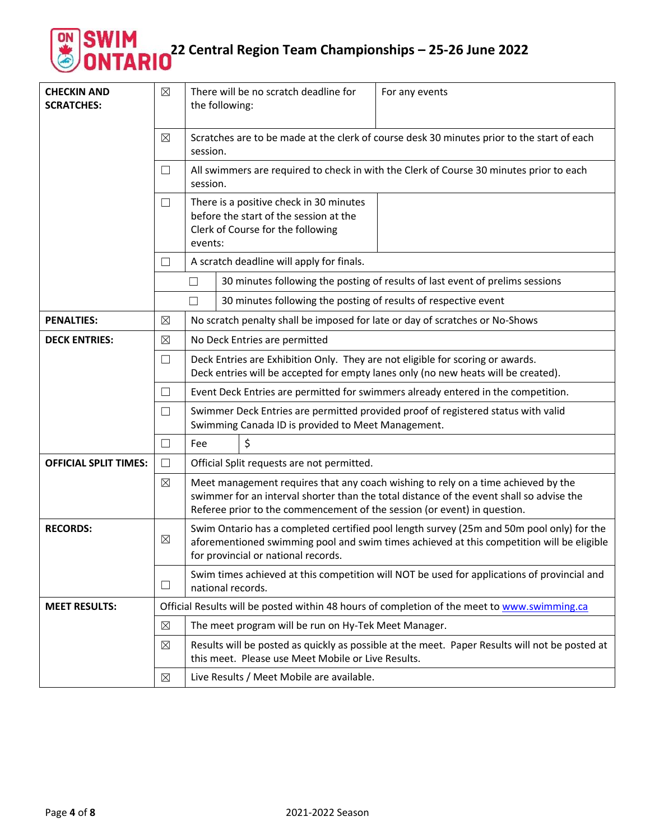| <b>CHECKIN AND</b><br><b>SCRATCHES:</b> | $\boxtimes$ | There will be no scratch deadline for<br>For any events<br>the following: |                                                                                                                        |                                                                 |                                                                                                                                                                                                                                                           |  |
|-----------------------------------------|-------------|---------------------------------------------------------------------------|------------------------------------------------------------------------------------------------------------------------|-----------------------------------------------------------------|-----------------------------------------------------------------------------------------------------------------------------------------------------------------------------------------------------------------------------------------------------------|--|
|                                         | $\boxtimes$ | session.                                                                  |                                                                                                                        |                                                                 | Scratches are to be made at the clerk of course desk 30 minutes prior to the start of each                                                                                                                                                                |  |
|                                         | $\Box$      | session.                                                                  |                                                                                                                        |                                                                 | All swimmers are required to check in with the Clerk of Course 30 minutes prior to each                                                                                                                                                                   |  |
|                                         | $\Box$      | events:                                                                   | There is a positive check in 30 minutes<br>before the start of the session at the<br>Clerk of Course for the following |                                                                 |                                                                                                                                                                                                                                                           |  |
|                                         | $\Box$      |                                                                           |                                                                                                                        | A scratch deadline will apply for finals.                       |                                                                                                                                                                                                                                                           |  |
|                                         |             | П                                                                         |                                                                                                                        |                                                                 | 30 minutes following the posting of results of last event of prelims sessions                                                                                                                                                                             |  |
|                                         |             | $\Box$                                                                    |                                                                                                                        | 30 minutes following the posting of results of respective event |                                                                                                                                                                                                                                                           |  |
| <b>PENALTIES:</b>                       | $\boxtimes$ |                                                                           |                                                                                                                        |                                                                 | No scratch penalty shall be imposed for late or day of scratches or No-Shows                                                                                                                                                                              |  |
| <b>DECK ENTRIES:</b>                    | $\boxtimes$ |                                                                           |                                                                                                                        | No Deck Entries are permitted                                   |                                                                                                                                                                                                                                                           |  |
|                                         | $\Box$      |                                                                           |                                                                                                                        |                                                                 | Deck Entries are Exhibition Only. They are not eligible for scoring or awards.<br>Deck entries will be accepted for empty lanes only (no new heats will be created).                                                                                      |  |
|                                         | $\Box$      |                                                                           |                                                                                                                        |                                                                 | Event Deck Entries are permitted for swimmers already entered in the competition.                                                                                                                                                                         |  |
|                                         | $\Box$      |                                                                           |                                                                                                                        | Swimming Canada ID is provided to Meet Management.              | Swimmer Deck Entries are permitted provided proof of registered status with valid                                                                                                                                                                         |  |
|                                         | $\Box$      | Fee                                                                       |                                                                                                                        | \$                                                              |                                                                                                                                                                                                                                                           |  |
| <b>OFFICIAL SPLIT TIMES:</b>            | $\Box$      |                                                                           |                                                                                                                        | Official Split requests are not permitted.                      |                                                                                                                                                                                                                                                           |  |
|                                         | $\boxtimes$ |                                                                           |                                                                                                                        |                                                                 | Meet management requires that any coach wishing to rely on a time achieved by the<br>swimmer for an interval shorter than the total distance of the event shall so advise the<br>Referee prior to the commencement of the session (or event) in question. |  |
| <b>RECORDS:</b>                         | $\boxtimes$ |                                                                           |                                                                                                                        | for provincial or national records.                             | Swim Ontario has a completed certified pool length survey (25m and 50m pool only) for the<br>aforementioned swimming pool and swim times achieved at this competition will be eligible                                                                    |  |
|                                         | $\Box$      | national records.                                                         |                                                                                                                        |                                                                 | Swim times achieved at this competition will NOT be used for applications of provincial and                                                                                                                                                               |  |
| <b>MEET RESULTS:</b>                    |             |                                                                           |                                                                                                                        |                                                                 | Official Results will be posted within 48 hours of completion of the meet to www.swimming.ca                                                                                                                                                              |  |
|                                         | $\boxtimes$ |                                                                           |                                                                                                                        | The meet program will be run on Hy-Tek Meet Manager.            |                                                                                                                                                                                                                                                           |  |
|                                         | ⊠           |                                                                           |                                                                                                                        | this meet. Please use Meet Mobile or Live Results.              | Results will be posted as quickly as possible at the meet. Paper Results will not be posted at                                                                                                                                                            |  |
|                                         | ⊠           |                                                                           |                                                                                                                        | Live Results / Meet Mobile are available.                       |                                                                                                                                                                                                                                                           |  |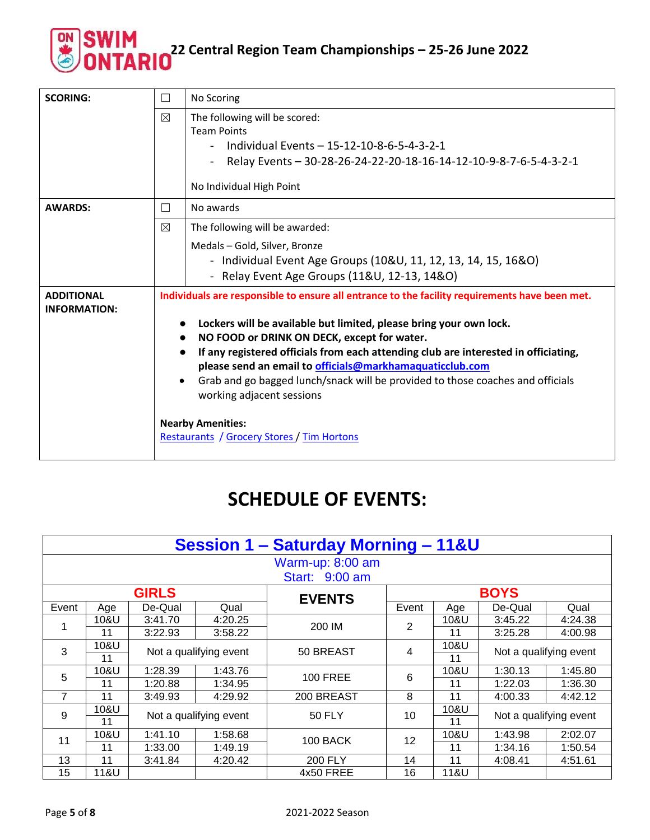| <b>SCORING:</b>     | $\Box$                                                                                         | No Scoring                                                                          |  |  |  |  |  |
|---------------------|------------------------------------------------------------------------------------------------|-------------------------------------------------------------------------------------|--|--|--|--|--|
|                     | ⊠                                                                                              | The following will be scored:                                                       |  |  |  |  |  |
|                     |                                                                                                | <b>Team Points</b>                                                                  |  |  |  |  |  |
|                     |                                                                                                | Individual Events - 15-12-10-8-6-5-4-3-2-1                                          |  |  |  |  |  |
|                     |                                                                                                | Relay Events - 30-28-26-24-22-20-18-16-14-12-10-9-8-7-6-5-4-3-2-1                   |  |  |  |  |  |
|                     |                                                                                                | No Individual High Point                                                            |  |  |  |  |  |
| <b>AWARDS:</b>      | □                                                                                              | No awards                                                                           |  |  |  |  |  |
|                     | $\boxtimes$                                                                                    | The following will be awarded:                                                      |  |  |  |  |  |
|                     |                                                                                                | Medals - Gold, Silver, Bronze                                                       |  |  |  |  |  |
|                     |                                                                                                | - Individual Event Age Groups (10&U, 11, 12, 13, 14, 15, 16&O)                      |  |  |  |  |  |
|                     |                                                                                                | - Relay Event Age Groups (11&U, 12-13, 14&O)                                        |  |  |  |  |  |
| <b>ADDITIONAL</b>   | Individuals are responsible to ensure all entrance to the facility requirements have been met. |                                                                                     |  |  |  |  |  |
| <b>INFORMATION:</b> |                                                                                                |                                                                                     |  |  |  |  |  |
|                     |                                                                                                | Lockers will be available but limited, please bring your own lock.                  |  |  |  |  |  |
|                     | $\bullet$                                                                                      | NO FOOD or DRINK ON DECK, except for water.                                         |  |  |  |  |  |
|                     |                                                                                                | If any registered officials from each attending club are interested in officiating, |  |  |  |  |  |
|                     |                                                                                                | please send an email to officials@markhamaquaticclub.com                            |  |  |  |  |  |
|                     | $\bullet$                                                                                      | Grab and go bagged lunch/snack will be provided to those coaches and officials      |  |  |  |  |  |
|                     |                                                                                                | working adjacent sessions                                                           |  |  |  |  |  |
|                     |                                                                                                | <b>Nearby Amenities:</b>                                                            |  |  |  |  |  |
|                     |                                                                                                | Restaurants / Grocery Stores / Tim Hortons                                          |  |  |  |  |  |
|                     |                                                                                                |                                                                                     |  |  |  |  |  |

#### **SCHEDULE OF EVENTS:**

|                | <b>Session 1 - Saturday Morning - 11&amp;U</b> |              |                        |                 |                |      |                        |         |  |  |  |  |
|----------------|------------------------------------------------|--------------|------------------------|-----------------|----------------|------|------------------------|---------|--|--|--|--|
|                | Warm-up: 8:00 am                               |              |                        |                 |                |      |                        |         |  |  |  |  |
|                | Start: 9:00 am                                 |              |                        |                 |                |      |                        |         |  |  |  |  |
|                |                                                | <b>GIRLS</b> |                        | <b>EVENTS</b>   |                |      | <b>BOYS</b>            |         |  |  |  |  |
| Event          | Age                                            | De-Qual      | Qual                   |                 | Event          | Age  | De-Qual                | Qual    |  |  |  |  |
|                | 10&U                                           | 3:41.70      | 4:20.25                | 200 IM          | $\overline{2}$ | 10&U | 3:45.22                | 4:24.38 |  |  |  |  |
|                | 11                                             | 3:22.93      | 3:58.22                |                 |                | 11   | 3:25.28                | 4:00.98 |  |  |  |  |
| 3              | 10&U                                           |              | Not a qualifying event | 50 BREAST       | 4              | 10&U | Not a qualifying event |         |  |  |  |  |
|                | 11                                             |              |                        |                 |                | 11   |                        |         |  |  |  |  |
| 5              | 10&U                                           | 1:28.39      | 1:43.76                | <b>100 FREE</b> | 6              | 10&U | 1:30.13                | 1:45.80 |  |  |  |  |
|                | 11                                             | 1:20.88      | 1:34.95                |                 |                | 11   | 1:22.03                | 1:36.30 |  |  |  |  |
| $\overline{7}$ | 11                                             | 3:49.93      | 4:29.92                | 200 BREAST      | 8              | 11   | 4:00.33                | 4:42.12 |  |  |  |  |
| 9              | 10&U                                           |              |                        | <b>50 FLY</b>   | 10             | 10&U |                        |         |  |  |  |  |
|                | 11                                             |              | Not a qualifying event |                 |                | 11   | Not a qualifying event |         |  |  |  |  |
| 11             | 10&U                                           | 1:41.10      | 1:58.68                |                 |                | 10&U | 1:43.98                | 2:02.07 |  |  |  |  |
|                | 11                                             | 1:33.00      | 1:49.19                | 100 BACK        | 12             | 11   | 1:34.16                | 1:50.54 |  |  |  |  |
| 13             | 11                                             | 3:41.84      | 4:20.42                | 200 FLY         | 14             | 11   | 4:08.41                | 4:51.61 |  |  |  |  |
| 15             | 11&U                                           |              |                        | 4x50 FREE       | 16             | 11&U |                        |         |  |  |  |  |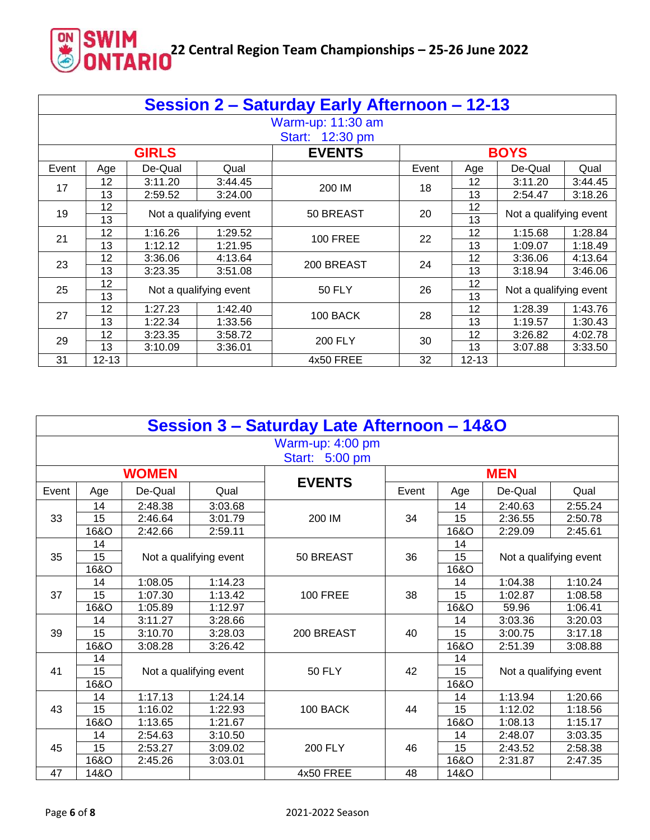|       | Session 2 - Saturday Early Afternoon - 12-13 |              |                        |                   |       |           |                        |         |  |  |  |  |
|-------|----------------------------------------------|--------------|------------------------|-------------------|-------|-----------|------------------------|---------|--|--|--|--|
|       |                                              |              |                        | Warm-up: 11:30 am |       |           |                        |         |  |  |  |  |
|       |                                              |              |                        | Start: 12:30 pm   |       |           |                        |         |  |  |  |  |
|       |                                              | <b>GIRLS</b> |                        | <b>EVENTS</b>     |       |           | <b>BOYS</b>            |         |  |  |  |  |
| Event | Age                                          | De-Qual      | Qual                   |                   | Event | Age       | De-Qual                | Qual    |  |  |  |  |
| 17    | 12                                           | 3:11.20      | 3:44.45                | 200 IM            | 18    | 12        | 3:11.20                | 3:44.45 |  |  |  |  |
|       | 13                                           | 2:59.52      | 3:24.00                |                   |       | 13        | 2:54.47                | 3:18.26 |  |  |  |  |
| 19    | 12                                           |              | Not a qualifying event | 50 BREAST         | 20    | 12        | Not a qualifying event |         |  |  |  |  |
|       | 13                                           |              |                        |                   |       | 13        |                        |         |  |  |  |  |
| 21    | 12                                           | 1:16.26      | 1:29.52                | <b>100 FREE</b>   | 22    | 12        | 1:15.68                | 1:28.84 |  |  |  |  |
|       | 13                                           | 1:12.12      | 1:21.95                |                   |       | 13        | 1:09.07                | 1:18.49 |  |  |  |  |
| 23    | 12                                           | 3:36.06      | 4:13.64                | 200 BREAST        | 24    | 12        | 3:36.06                | 4:13.64 |  |  |  |  |
|       | 13                                           | 3:23.35      | 3:51.08                |                   |       | 13        | 3:18.94                | 3:46.06 |  |  |  |  |
| 25    | 12                                           |              |                        | <b>50 FLY</b>     | 26    | 12        |                        |         |  |  |  |  |
|       | 13                                           |              | Not a qualifying event |                   |       | 13        | Not a qualifying event |         |  |  |  |  |
| 27    | 12                                           | 1:27.23      | 1:42.40                | 100 BACK          | 28    | 12        | 1:28.39                | 1:43.76 |  |  |  |  |
|       | 13                                           | 1:22.34      | 1:33.56                |                   |       | 13        | 1:19.57                | 1:30.43 |  |  |  |  |
|       | 12                                           | 3:23.35      | 3:58.72                |                   |       | 12        | 3:26.82                | 4:02.78 |  |  |  |  |
| 29    | 13                                           | 3:10.09      | 3:36.01                | <b>200 FLY</b>    | 30    | 13        | 3:07.88                | 3:33.50 |  |  |  |  |
| 31    | $12 - 13$                                    |              |                        | 4x50 FREE         | 32    | $12 - 13$ |                        |         |  |  |  |  |

|                       | Session 3 - Saturday Late Afternoon - 14&O |              |                        |                 |       |                 |                        |                        |  |  |  |  |
|-----------------------|--------------------------------------------|--------------|------------------------|-----------------|-------|-----------------|------------------------|------------------------|--|--|--|--|
|                       | Warm-up: 4:00 pm                           |              |                        |                 |       |                 |                        |                        |  |  |  |  |
| <b>Start: 5:00 pm</b> |                                            |              |                        |                 |       |                 |                        |                        |  |  |  |  |
|                       |                                            | <b>WOMEN</b> |                        | <b>EVENTS</b>   |       |                 | <b>MEN</b>             |                        |  |  |  |  |
| Event                 | Age                                        | De-Qual      | Qual                   |                 | Event | Age             | De-Qual                | Qual                   |  |  |  |  |
|                       | 14                                         | 2:48.38      | 3:03.68                |                 |       | 14              | 2:40.63                | 2:55.24                |  |  |  |  |
| 33                    | 15                                         | 2:46.64      | 3:01.79                | 200 IM          | 34    | 15              | 2:36.55                | 2:50.78                |  |  |  |  |
|                       | 16&O                                       | 2:42.66      | 2:59.11                |                 |       | <b>16&amp;O</b> | 2:29.09                | 2:45.61                |  |  |  |  |
|                       | 14                                         |              |                        |                 |       | 14              |                        |                        |  |  |  |  |
| 35                    | 15                                         |              | Not a qualifying event | 50 BREAST       | 36    | 15              | Not a qualifying event |                        |  |  |  |  |
|                       | <b>16&amp;O</b>                            |              |                        |                 |       | <b>16&amp;O</b> |                        |                        |  |  |  |  |
| 14<br>37<br>15        |                                            | 1:08.05      | 1:14.23                |                 |       | 14              | 1:04.38                | 1:10.24                |  |  |  |  |
|                       |                                            | 1:07.30      | 1:13.42                | <b>100 FREE</b> | 38    | 15              | 1:02.87                | 1:08.58                |  |  |  |  |
|                       | 16&O                                       | 1:05.89      | 1:12.97                |                 |       | <b>16&amp;O</b> | 59.96                  | 1:06.41                |  |  |  |  |
|                       | 14                                         | 3:11.27      | 3:28.66                |                 |       | 14              | 3:03.36                | 3:20.03                |  |  |  |  |
| 39                    | 15                                         | 3:10.70      | 3:28.03                | 200 BREAST      | 40    | 15              | 3:00.75                | 3:17.18                |  |  |  |  |
|                       | 16&O                                       | 3:08.28      | 3:26.42                |                 |       | 16&O            | 2:51.39                | 3:08.88                |  |  |  |  |
|                       | 14                                         |              |                        |                 |       | 14              |                        |                        |  |  |  |  |
| 41                    | 15                                         |              | Not a qualifying event | <b>50 FLY</b>   | 42    | 15              |                        | Not a qualifying event |  |  |  |  |
|                       | 16&O                                       |              |                        |                 |       | <b>16&amp;O</b> |                        |                        |  |  |  |  |
|                       | 14                                         | 1:17.13      | 1:24.14                |                 |       | 14              | 1:13.94                | 1:20.66                |  |  |  |  |
| 43                    | 15                                         | 1:16.02      | 1:22.93                | 100 BACK        | 44    | 15              | 1:12.02                | 1:18.56                |  |  |  |  |
|                       | <b>16&amp;O</b>                            | 1:13.65      | 1:21.67                |                 |       | <b>16&amp;O</b> | 1:08.13                | 1:15.17                |  |  |  |  |
|                       | 14                                         | 2:54.63      | 3:10.50                |                 |       | 14              | 2:48.07                | 3:03.35                |  |  |  |  |
| 45                    | 15                                         | 2:53.27      | 3:09.02                | <b>200 FLY</b>  | 46    | 15              | 2:43.52                | 2:58.38                |  |  |  |  |
|                       | <b>16&amp;O</b>                            | 2:45.26      | 3:03.01                |                 |       | <b>16&amp;O</b> | 2:31.87                | 2:47.35                |  |  |  |  |
| 47                    | 14&O                                       |              |                        | 4x50 FREE       | 48    | 14&O            |                        |                        |  |  |  |  |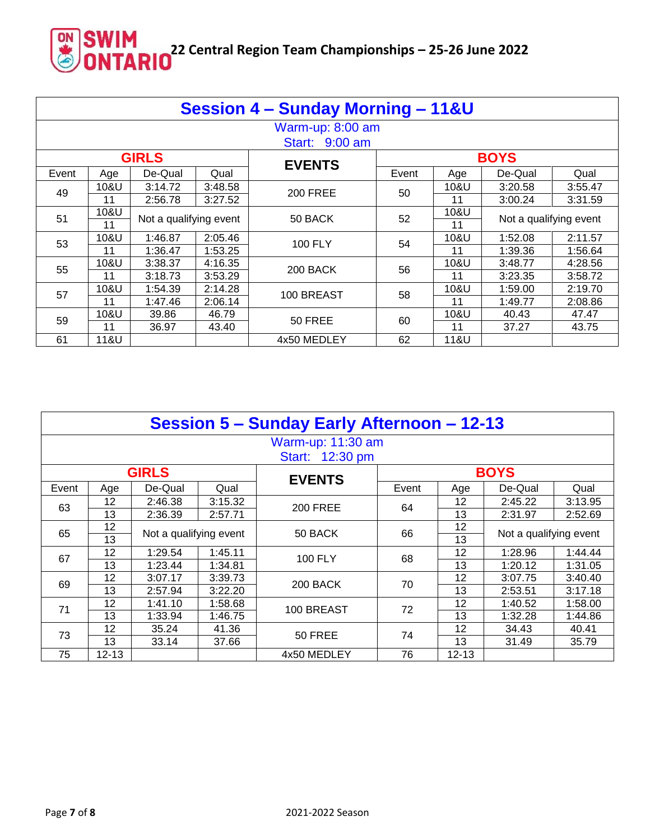

|                | <b>Session 4 - Sunday Morning - 11&amp;U</b> |                        |         |                 |       |      |                        |         |  |  |  |  |
|----------------|----------------------------------------------|------------------------|---------|-----------------|-------|------|------------------------|---------|--|--|--|--|
|                | Warm-up: 8:00 am                             |                        |         |                 |       |      |                        |         |  |  |  |  |
| Start: 9:00 am |                                              |                        |         |                 |       |      |                        |         |  |  |  |  |
|                |                                              | <b>GIRLS</b>           |         | <b>EVENTS</b>   |       |      | <b>BOYS</b>            |         |  |  |  |  |
| Event          | Age                                          | De-Qual                | Qual    |                 | Event | Age  | De-Qual                | Qual    |  |  |  |  |
|                | 10&U                                         | 3:14.72                | 3:48.58 | <b>200 FREE</b> | 50    | 10&U | 3:20.58                | 3:55.47 |  |  |  |  |
| 49<br>11       |                                              | 2:56.78                | 3:27.52 |                 |       | 11   | 3:00.24                | 3:31.59 |  |  |  |  |
| 51             | 10&U                                         | Not a qualifying event |         | 50 BACK         | 52    | 10&U | Not a qualifying event |         |  |  |  |  |
|                | 11                                           |                        |         |                 |       | 11   |                        |         |  |  |  |  |
| 53             | 10&U                                         | 1:46.87                | 2:05.46 | <b>100 FLY</b>  | 54    | 10&U | 1:52.08                | 2:11.57 |  |  |  |  |
|                | 11                                           | 1:36.47                | 1:53.25 |                 |       | 11   | 1:39.36                | 1:56.64 |  |  |  |  |
| 55             | 10&U                                         | 3:38.37                | 4:16.35 | 200 BACK        | 56    | 10&U | 3:48.77                | 4:28.56 |  |  |  |  |
|                | 11                                           | 3:18.73                | 3:53.29 |                 |       | 11   | 3:23.35                | 3:58.72 |  |  |  |  |
| 57             | 10&U                                         | 1:54.39                | 2:14.28 | 100 BREAST      | 58    | 10&U | 1:59.00                | 2:19.70 |  |  |  |  |
|                | 11                                           | 1:47.46                | 2:06.14 |                 |       | 11   | 1:49.77                | 2:08.86 |  |  |  |  |
|                | 10&U                                         | 39.86                  | 46.79   | <b>50 FREE</b>  | 60    | 10&U | 40.43                  | 47.47   |  |  |  |  |
| 59             | 11                                           | 36.97                  | 43.40   |                 |       | 11   | 37.27                  | 43.75   |  |  |  |  |
| 61             | 11&U                                         |                        |         | 4x50 MEDLEY     | 62    | 11&U |                        |         |  |  |  |  |

|          | Session 5 - Sunday Early Afternoon - 12-13 |                        |         |                 |       |           |                        |         |  |  |  |  |
|----------|--------------------------------------------|------------------------|---------|-----------------|-------|-----------|------------------------|---------|--|--|--|--|
|          | Warm-up: 11:30 am                          |                        |         |                 |       |           |                        |         |  |  |  |  |
|          | Start: 12:30 pm                            |                        |         |                 |       |           |                        |         |  |  |  |  |
|          |                                            | <b>GIRLS</b>           |         | <b>EVENTS</b>   |       |           | <b>BOYS</b>            |         |  |  |  |  |
| Event    | Age                                        | De-Qual                | Qual    |                 | Event | Age       | De-Qual                | Qual    |  |  |  |  |
|          | 12                                         | 2:46.38                | 3:15.32 | <b>200 FREE</b> | 64    | 12        | 2:45.22                | 3:13.95 |  |  |  |  |
| 63<br>13 |                                            | 2:36.39                | 2:57.71 |                 |       | 13        | 2:31.97                | 2:52.69 |  |  |  |  |
| 65       | 12                                         | Not a qualifying event |         | 50 BACK         | 66    | 12        | Not a qualifying event |         |  |  |  |  |
|          | 13                                         |                        |         |                 |       | 13        |                        |         |  |  |  |  |
| 67       | 12                                         | 1:29.54                | 1:45.11 | <b>100 FLY</b>  | 68    | 12        | 1:28.96                | 1:44.44 |  |  |  |  |
|          | 13                                         | 1:23.44                | 1:34.81 |                 |       | 13        | 1:20.12                | 1:31.05 |  |  |  |  |
| 69       | 12                                         | 3:07.17                | 3:39.73 | 200 BACK        | 70    | 12        | 3:07.75                | 3:40.40 |  |  |  |  |
|          | 13                                         | 2:57.94                | 3:22.20 |                 |       | 13        | 2:53.51                | 3:17.18 |  |  |  |  |
| 71       | 12                                         | 1:41.10                | 1:58.68 | 100 BREAST      | 72    | 12        | 1:40.52                | 1:58.00 |  |  |  |  |
|          | 13                                         | 1:33.94                | 1:46.75 |                 |       | 13        | 1:32.28                | 1:44.86 |  |  |  |  |
|          | 12                                         | 35.24                  | 41.36   | 50 FREE         |       | 12        | 34.43                  | 40.41   |  |  |  |  |
| 73       | 13                                         | 33.14                  | 37.66   |                 | 74    | 13        | 31.49                  | 35.79   |  |  |  |  |
| 75       | $12 - 13$                                  |                        |         | 4x50 MEDLEY     | 76    | $12 - 13$ |                        |         |  |  |  |  |